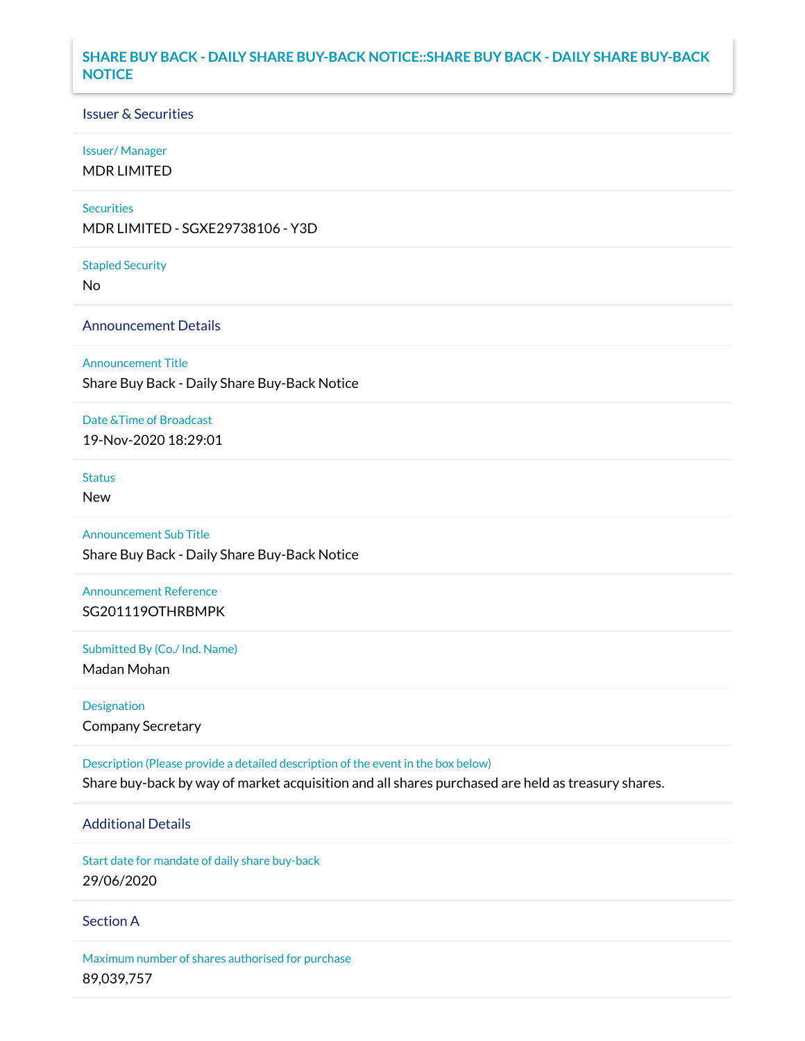## **SHARE BUY BACK - DAILY SHARE BUY-BACK NOTICE::SHARE BUY BACK - DAILY SHARE BUY-BACK NOTICE**

### Issuer & Securities

#### Issuer/ Manager

MDR LIMITED

#### **Securities**

MDR LIMITED - SGXE29738106 - Y3D

#### Stapled Security

No

### Announcement Details

Announcement Title

Share Buy Back - Daily Share Buy-Back Notice

#### Date &Time of Broadcast

19-Nov-2020 18:29:01

# Status

New

## Announcement Sub Title

Share Buy Back - Daily Share Buy-Back Notice

### Announcement Reference SG201119OTHRBMPK

Submitted By (Co./ Ind. Name)

Madan Mohan

Designation Company Secretary

Description (Please provide a detailed description of the event in the box below) Share buy-back by way of market acquisition and all shares purchased are held as treasury shares.

# Additional Details

Start date for mandate of daily share buy-back 29/06/2020

### Section A

Maximum number of shares authorised for purchase 89,039,757